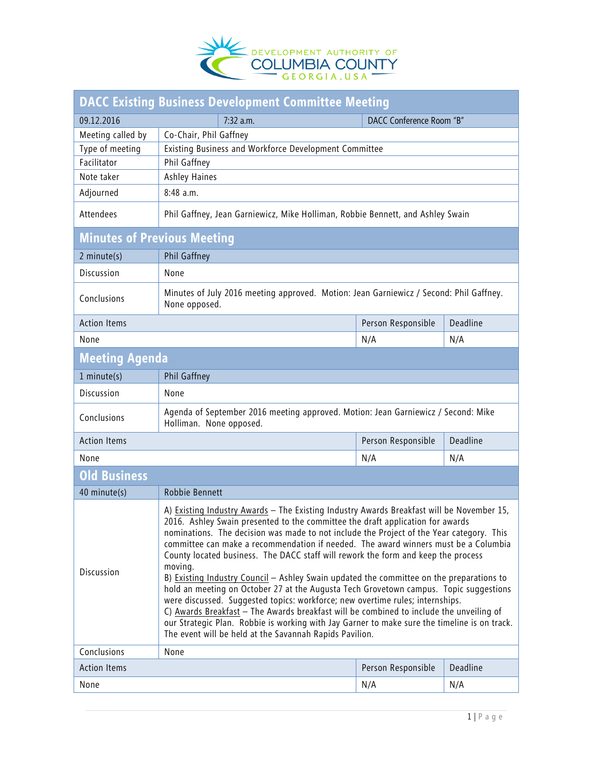

| DACC Existing Business Development Committee Meeting |                                                                                                                                                                                                                                                                                                                                                                                                                                                                                                                                                                                                                                                                                                                                                                                                                                                                                                                                                                                            |                          |          |  |
|------------------------------------------------------|--------------------------------------------------------------------------------------------------------------------------------------------------------------------------------------------------------------------------------------------------------------------------------------------------------------------------------------------------------------------------------------------------------------------------------------------------------------------------------------------------------------------------------------------------------------------------------------------------------------------------------------------------------------------------------------------------------------------------------------------------------------------------------------------------------------------------------------------------------------------------------------------------------------------------------------------------------------------------------------------|--------------------------|----------|--|
| 09.12.2016                                           | 7:32 a.m.                                                                                                                                                                                                                                                                                                                                                                                                                                                                                                                                                                                                                                                                                                                                                                                                                                                                                                                                                                                  | DACC Conference Room "B" |          |  |
| Meeting called by                                    | Co-Chair, Phil Gaffney                                                                                                                                                                                                                                                                                                                                                                                                                                                                                                                                                                                                                                                                                                                                                                                                                                                                                                                                                                     |                          |          |  |
| Type of meeting                                      | Existing Business and Workforce Development Committee                                                                                                                                                                                                                                                                                                                                                                                                                                                                                                                                                                                                                                                                                                                                                                                                                                                                                                                                      |                          |          |  |
| Facilitator                                          | Phil Gaffney                                                                                                                                                                                                                                                                                                                                                                                                                                                                                                                                                                                                                                                                                                                                                                                                                                                                                                                                                                               |                          |          |  |
| Note taker                                           | <b>Ashley Haines</b>                                                                                                                                                                                                                                                                                                                                                                                                                                                                                                                                                                                                                                                                                                                                                                                                                                                                                                                                                                       |                          |          |  |
| Adjourned                                            | 8:48 a.m.                                                                                                                                                                                                                                                                                                                                                                                                                                                                                                                                                                                                                                                                                                                                                                                                                                                                                                                                                                                  |                          |          |  |
| Attendees                                            | Phil Gaffney, Jean Garniewicz, Mike Holliman, Robbie Bennett, and Ashley Swain                                                                                                                                                                                                                                                                                                                                                                                                                                                                                                                                                                                                                                                                                                                                                                                                                                                                                                             |                          |          |  |
| <b>Minutes of Previous Meeting</b>                   |                                                                                                                                                                                                                                                                                                                                                                                                                                                                                                                                                                                                                                                                                                                                                                                                                                                                                                                                                                                            |                          |          |  |
| 2 minute(s)                                          | Phil Gaffney                                                                                                                                                                                                                                                                                                                                                                                                                                                                                                                                                                                                                                                                                                                                                                                                                                                                                                                                                                               |                          |          |  |
| Discussion                                           | None                                                                                                                                                                                                                                                                                                                                                                                                                                                                                                                                                                                                                                                                                                                                                                                                                                                                                                                                                                                       |                          |          |  |
| Conclusions                                          | Minutes of July 2016 meeting approved. Motion: Jean Garniewicz / Second: Phil Gaffney.<br>None opposed.                                                                                                                                                                                                                                                                                                                                                                                                                                                                                                                                                                                                                                                                                                                                                                                                                                                                                    |                          |          |  |
| <b>Action Items</b>                                  |                                                                                                                                                                                                                                                                                                                                                                                                                                                                                                                                                                                                                                                                                                                                                                                                                                                                                                                                                                                            | Person Responsible       | Deadline |  |
| None                                                 |                                                                                                                                                                                                                                                                                                                                                                                                                                                                                                                                                                                                                                                                                                                                                                                                                                                                                                                                                                                            | N/A                      | N/A      |  |
| <b>Meeting Agenda</b>                                |                                                                                                                                                                                                                                                                                                                                                                                                                                                                                                                                                                                                                                                                                                                                                                                                                                                                                                                                                                                            |                          |          |  |
| $1$ minute(s)                                        | Phil Gaffney                                                                                                                                                                                                                                                                                                                                                                                                                                                                                                                                                                                                                                                                                                                                                                                                                                                                                                                                                                               |                          |          |  |
| Discussion                                           | None                                                                                                                                                                                                                                                                                                                                                                                                                                                                                                                                                                                                                                                                                                                                                                                                                                                                                                                                                                                       |                          |          |  |
| Conclusions                                          | Agenda of September 2016 meeting approved. Motion: Jean Garniewicz / Second: Mike<br>Holliman. None opposed.                                                                                                                                                                                                                                                                                                                                                                                                                                                                                                                                                                                                                                                                                                                                                                                                                                                                               |                          |          |  |
| <b>Action Items</b>                                  | Person Responsible                                                                                                                                                                                                                                                                                                                                                                                                                                                                                                                                                                                                                                                                                                                                                                                                                                                                                                                                                                         |                          | Deadline |  |
| None                                                 |                                                                                                                                                                                                                                                                                                                                                                                                                                                                                                                                                                                                                                                                                                                                                                                                                                                                                                                                                                                            | N/A                      | N/A      |  |
| <b>Old Business</b>                                  |                                                                                                                                                                                                                                                                                                                                                                                                                                                                                                                                                                                                                                                                                                                                                                                                                                                                                                                                                                                            |                          |          |  |
| 40 minute(s)                                         | Robbie Bennett                                                                                                                                                                                                                                                                                                                                                                                                                                                                                                                                                                                                                                                                                                                                                                                                                                                                                                                                                                             |                          |          |  |
| Discussion                                           | A) Existing Industry Awards - The Existing Industry Awards Breakfast will be November 15,<br>2016. Ashley Swain presented to the committee the draft application for awards<br>nominations. The decision was made to not include the Project of the Year category. This<br>committee can make a recommendation if needed. The award winners must be a Columbia<br>County located business. The DACC staff will rework the form and keep the process<br>moving.<br>B) Existing Industry Council - Ashley Swain updated the committee on the preparations to<br>hold an meeting on October 27 at the Augusta Tech Grovetown campus. Topic suggestions<br>were discussed. Suggested topics: workforce; new overtime rules; internships.<br>C) Awards Breakfast - The Awards breakfast will be combined to include the unveiling of<br>our Strategic Plan. Robbie is working with Jay Garner to make sure the timeline is on track.<br>The event will be held at the Savannah Rapids Pavilion. |                          |          |  |
| Conclusions<br>None                                  |                                                                                                                                                                                                                                                                                                                                                                                                                                                                                                                                                                                                                                                                                                                                                                                                                                                                                                                                                                                            |                          |          |  |
| <b>Action Items</b>                                  |                                                                                                                                                                                                                                                                                                                                                                                                                                                                                                                                                                                                                                                                                                                                                                                                                                                                                                                                                                                            | Person Responsible       | Deadline |  |
| None                                                 |                                                                                                                                                                                                                                                                                                                                                                                                                                                                                                                                                                                                                                                                                                                                                                                                                                                                                                                                                                                            | N/A                      | N/A      |  |